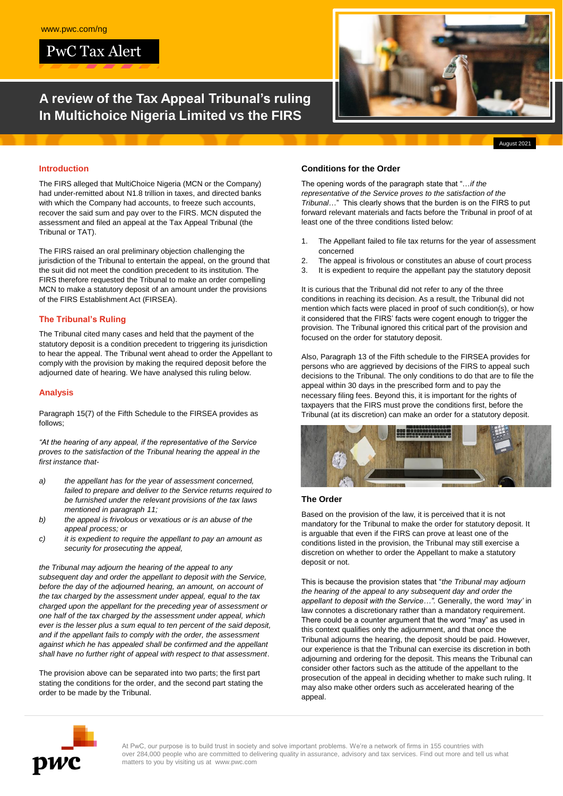PwC Tax Alert

# **A review of the Tax Appeal Tribunal's ruling In Multichoice Nigeria Limited vs the FIRS**



#### **Introduction**

The FIRS alleged that MultiChoice Nigeria (MCN or the Company) had under-remitted about N1.8 trillion in taxes, and directed banks with which the Company had accounts, to freeze such accounts, recover the said sum and pay over to the FIRS. MCN disputed the assessment and filed an appeal at the Tax Appeal Tribunal (the Tribunal or TAT).

The FIRS raised an oral preliminary objection challenging the jurisdiction of the Tribunal to entertain the appeal, on the ground that the suit did not meet the condition precedent to its institution. The FIRS therefore requested the Tribunal to make an order compelling MCN to make a statutory deposit of an amount under the provisions of the FIRS Establishment Act (FIRSEA).

## **The Tribunal's Ruling**

The Tribunal cited many cases and held that the payment of the statutory deposit is a condition precedent to triggering its jurisdiction to hear the appeal. The Tribunal went ahead to order the Appellant to comply with the provision by making the required deposit before the adjourned date of hearing. We have analysed this ruling below.

#### **Analysis**

Paragraph 15(7) of the Fifth Schedule to the FIRSEA provides as follows;

*"At the hearing of any appeal, if the representative of the Service proves to the satisfaction of the Tribunal hearing the appeal in the first instance that-*

- *a) the appellant has for the year of assessment concerned, failed to prepare and deliver to the Service returns required to be furnished under the relevant provisions of the tax laws mentioned in paragraph 11;*
- *b) the appeal is frivolous or vexatious or is an abuse of the appeal process; or*
- *c) it is expedient to require the appellant to pay an amount as security for prosecuting the appeal,*

*the Tribunal may adjourn the hearing of the appeal to any subsequent day and order the appellant to deposit with the Service, before the day of the adjourned hearing, an amount, on account of the tax charged by the assessment under appeal, equal to the tax charged upon the appellant for the preceding year of assessment or one half of the tax charged by the assessment under appeal, which ever is the lesser plus a sum equal to ten percent of the said deposit, and if the appellant fails to comply with the order, the assessment against which he has appealed shall be confirmed and the appellant shall have no further right of appeal with respect to that assessment*.

The provision above can be separated into two parts; the first part stating the conditions for the order, and the second part stating the order to be made by the Tribunal.

#### **Conditions for the Order**

The opening words of the paragraph state that "…*if the representative of the Service proves to the satisfaction of the Tribunal*…" This clearly shows that the burden is on the FIRS to put forward relevant materials and facts before the Tribunal in proof of at least one of the three conditions listed below:

- 1. The Appellant failed to file tax returns for the year of assessment concerned
- 2. The appeal is frivolous or constitutes an abuse of court process
- 3. It is expedient to require the appellant pay the statutory deposit

It is curious that the Tribunal did not refer to any of the three conditions in reaching its decision. As a result, the Tribunal did not mention which facts were placed in proof of such condition(s), or how it considered that the FIRS' facts were cogent enough to trigger the provision. The Tribunal ignored this critical part of the provision and focused on the order for statutory deposit.

Also, Paragraph 13 of the Fifth schedule to the FIRSEA provides for persons who are aggrieved by decisions of the FIRS to appeal such decisions to the Tribunal. The only conditions to do that are to file the appeal within 30 days in the prescribed form and to pay the necessary filing fees. Beyond this, it is important for the rights of taxpayers that the FIRS must prove the conditions first, before the Tribunal (at its discretion) can make an order for a statutory deposit.



#### **The Order**

Based on the provision of the law, it is perceived that it is not mandatory for the Tribunal to make the order for statutory deposit. It is arguable that even if the FIRS can prove at least one of the conditions listed in the provision, the Tribunal may still exercise a discretion on whether to order the Appellant to make a statutory deposit or not.

This is because the provision states that "*the Tribunal may adjourn the hearing of the appeal to any subsequent day and order the appellant to deposit with the Service…".* Generally, the word *'may'* in law connotes a discretionary rather than a mandatory requirement. There could be a counter argument that the word "may" as used in this context qualifies only the adjournment, and that once the Tribunal adjourns the hearing, the deposit should be paid. However, our experience is that the Tribunal can exercise its discretion in both adjourning and ordering for the deposit. This means the Tribunal can consider other factors such as the attitude of the appellant to the prosecution of the appeal in deciding whether to make such ruling. It may also make other orders such as accelerated hearing of the appeal.



At PwC, our purpose is to build trust in society and solve important problems. We're a network of firms in 155 countries with over 284,000 people who are committed to delivering quality in assurance, advisory and tax services. Find out more and tell us what matters to you by visiting us at www.pwc.com